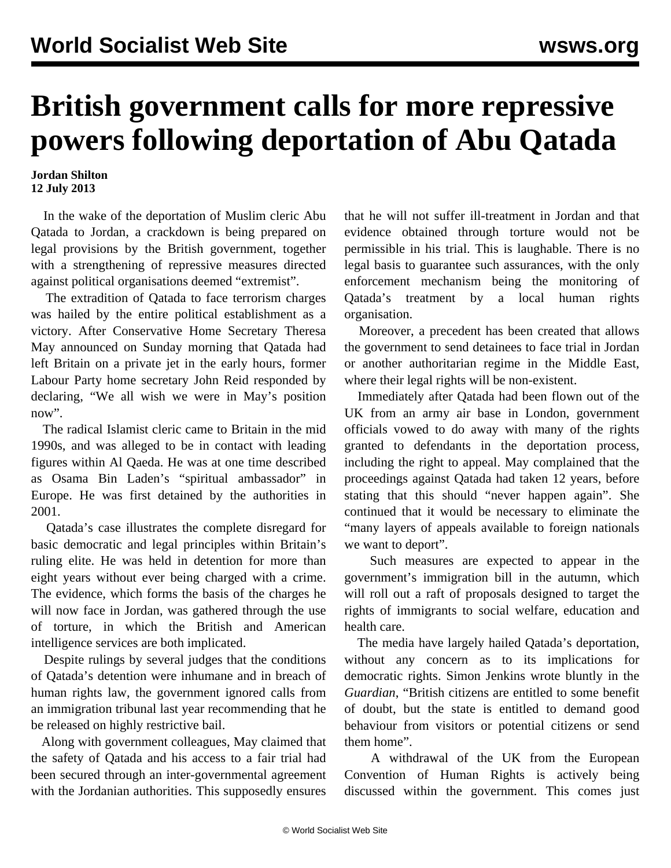## **British government calls for more repressive powers following deportation of Abu Qatada**

## **Jordan Shilton 12 July 2013**

 In the wake of the deportation of Muslim cleric Abu Qatada to Jordan, a crackdown is being prepared on legal provisions by the British government, together with a strengthening of repressive measures directed against political organisations deemed "extremist".

 The extradition of Qatada to face terrorism charges was hailed by the entire political establishment as a victory. After Conservative Home Secretary Theresa May announced on Sunday morning that Qatada had left Britain on a private jet in the early hours, former Labour Party home secretary John Reid responded by declaring, "We all wish we were in May's position now".

 The radical Islamist cleric came to Britain in the mid 1990s, and was alleged to be in contact with leading figures within Al Qaeda. He was at one time described as Osama Bin Laden's "spiritual ambassador" in Europe. He was first detained by the authorities in 2001.

 Qatada's case illustrates the complete disregard for basic democratic and legal principles within Britain's ruling elite. He was held in detention for more than eight years without ever being charged with a crime. The evidence, which forms the basis of the charges he will now face in Jordan, was gathered through the use of torture, in which the British and American intelligence services are both implicated.

 Despite rulings by several judges that the conditions of Qatada's detention were inhumane and in breach of human rights law, the government ignored calls from an immigration tribunal last year recommending that he be released on highly restrictive bail.

 Along with government colleagues, May claimed that the safety of Qatada and his access to a fair trial had been secured through an inter-governmental agreement with the Jordanian authorities. This supposedly ensures

that he will not suffer ill-treatment in Jordan and that evidence obtained through torture would not be permissible in his trial. This is laughable. There is no legal basis to guarantee such assurances, with the only enforcement mechanism being the monitoring of Qatada's treatment by a local human rights organisation.

 Moreover, a precedent has been created that allows the government to send detainees to face trial in Jordan or another authoritarian regime in the Middle East, where their legal rights will be non-existent.

 Immediately after Qatada had been flown out of the UK from an army air base in London, government officials vowed to do away with many of the rights granted to defendants in the deportation process, including the right to appeal. May complained that the proceedings against Qatada had taken 12 years, before stating that this should "never happen again". She continued that it would be necessary to eliminate the "many layers of appeals available to foreign nationals we want to deport".

 Such measures are expected to appear in the government's immigration bill in the autumn, which will roll out a raft of proposals designed to target the rights of immigrants to social welfare, education and health care.

 The media have largely hailed Qatada's deportation, without any concern as to its implications for democratic rights. Simon Jenkins wrote bluntly in the *Guardian*, "British citizens are entitled to some benefit of doubt, but the state is entitled to demand good behaviour from visitors or potential citizens or send them home".

 A withdrawal of the UK from the European Convention of Human Rights is actively being discussed within the government. This comes just